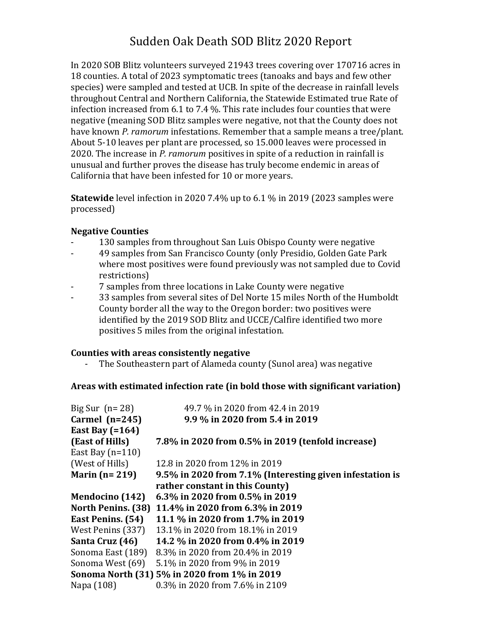# Sudden Oak Death SOD Blitz 2020 Report

In 2020 SOB Blitz volunteers surveyed 21943 trees covering over 170716 acres in 18 counties. A total of 2023 symptomatic trees (tanoaks and bays and few other species) were sampled and tested at UCB. In spite of the decrease in rainfall levels throughout Central and Northern California, the Statewide Estimated true Rate of infection increased from 6.1 to 7.4 %. This rate includes four counties that were negative (meaning SOD Blitz samples were negative, not that the County does not have known *P. ramorum* infestations. Remember that a sample means a tree/plant. About 5-10 leaves per plant are processed, so 15.000 leaves were processed in 2020. The increase in *P. ramorum* positives in spite of a reduction in rainfall is unusual and further proves the disease has truly become endemic in areas of California that have been infested for 10 or more years.

**Statewide** level infection in 2020 7.4% up to 6.1 % in 2019 (2023 samples were processed)

# **Negative Counties**

- 130 samples from throughout San Luis Obispo County were negative
- 49 samples from San Francisco County (only Presidio, Golden Gate Park where most positives were found previously was not sampled due to Covid restrictions)
- 7 samples from three locations in Lake County were negative
- 33 samples from several sites of Del Norte 15 miles North of the Humboldt County border all the way to the Oregon border: two positives were identified by the 2019 SOD Blitz and UCCE/Calfire identified two more positives 5 miles from the original infestation.

### **Counties with areas consistently negative**

- The Southeastern part of Alameda county (Sunol area) was negative

### **Areas with estimated infection rate (in bold those with significant variation)**

| Big Sur $(n=28)$       | 49.7 % in 2020 from 42.4 in 2019                         |
|------------------------|----------------------------------------------------------|
| Carmel $(n=245)$       | 9.9 % in 2020 from 5.4 in 2019                           |
| East Bay $(=164)$      |                                                          |
| (East of Hills)        | 7.8% in 2020 from 0.5% in 2019 (tenfold increase)        |
| East Bay $(n=110)$     |                                                          |
| (West of Hills)        | 12.8 in 2020 from 12% in 2019                            |
| Marin ( $n = 219$ )    | 9.5% in 2020 from 7.1% (Interesting given infestation is |
|                        | rather constant in this County)                          |
| <b>Mendocino</b> (142) | 6.3% in 2020 from 0.5% in 2019                           |
| North Penins. (38)     | 11.4% in 2020 from 6.3% in 2019                          |
| East Penins. (54)      | 11.1 % in 2020 from 1.7% in 2019                         |
| West Penins (337)      | 13.1% in 2020 from 18.1% in 2019                         |
| Santa Cruz (46)        | 14.2 % in 2020 from 0.4% in 2019                         |
| Sonoma East (189)      | 8.3% in 2020 from 20.4% in 2019                          |
| Sonoma West (69)       | 5.1% in 2020 from 9% in 2019                             |
|                        | Sonoma North (31) 5% in 2020 from 1% in 2019             |
| Napa (108)             | 0.3% in 2020 from 7.6% in 2109                           |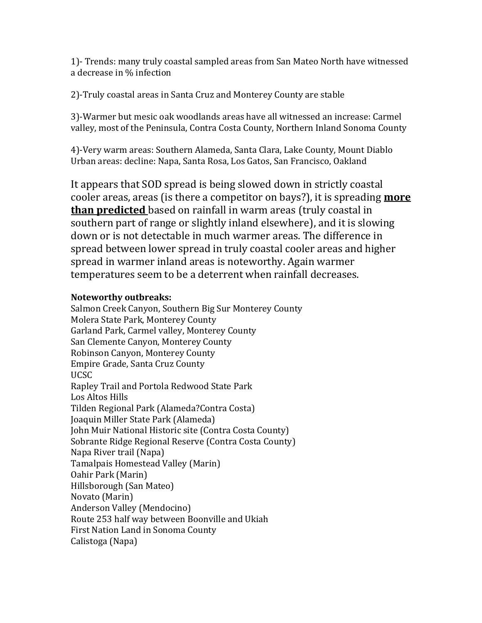1)- Trends: many truly coastal sampled areas from San Mateo North have witnessed a decrease in % infection

2)-Truly coastal areas in Santa Cruz and Monterey County are stable

3)-Warmer but mesic oak woodlands areas have all witnessed an increase: Carmel valley, most of the Peninsula, Contra Costa County, Northern Inland Sonoma County

4)-Very warm areas: Southern Alameda, Santa Clara, Lake County, Mount Diablo Urban areas: decline: Napa, Santa Rosa, Los Gatos, San Francisco, Oakland

It appears that SOD spread is being slowed down in strictly coastal cooler areas, areas (is there a competitor on bays?), it is spreading **more than predicted** based on rainfall in warm areas (truly coastal in southern part of range or slightly inland elsewhere), and it is slowing down or is not detectable in much warmer areas. The difference in spread between lower spread in truly coastal cooler areas and higher spread in warmer inland areas is noteworthy. Again warmer temperatures seem to be a deterrent when rainfall decreases.

# **Noteworthy outbreaks:**

Salmon Creek Canyon, Southern Big Sur Monterey County Molera State Park, Monterey County Garland Park, Carmel valley, Monterey County San Clemente Canyon, Monterey County Robinson Canyon, Monterey County Empire Grade, Santa Cruz County UCSC Rapley Trail and Portola Redwood State Park Los Altos Hills Tilden Regional Park (Alameda?Contra Costa) Joaquin Miller State Park (Alameda) John Muir National Historic site (Contra Costa County) Sobrante Ridge Regional Reserve (Contra Costa County) Napa River trail (Napa) Tamalpais Homestead Valley (Marin) Oahir Park (Marin) Hillsborough (San Mateo) Novato (Marin) Anderson Valley (Mendocino) Route 253 half way between Boonville and Ukiah First Nation Land in Sonoma County Calistoga (Napa)